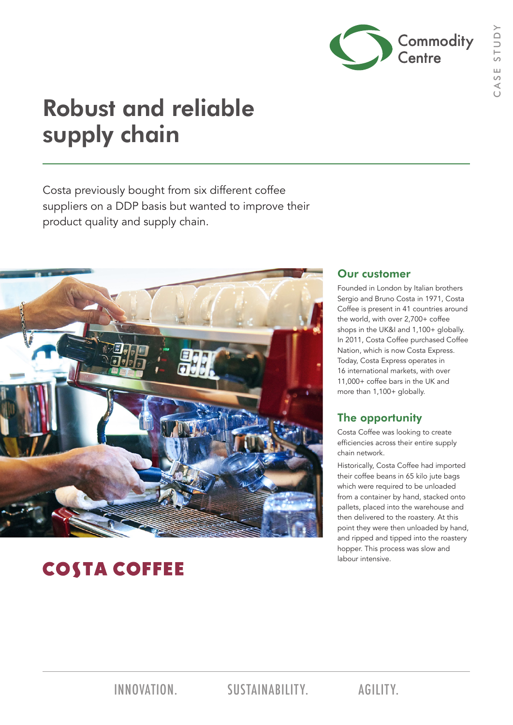

# Robust and reliable supply chain

Costa previously bought from six different coffee suppliers on a DDP basis but wanted to improve their product quality and supply chain.



## **COSTA COFFEE**

### Our customer

Founded in London by Italian brothers Sergio and Bruno Costa in 1971, Costa Coffee is present in 41 countries around the world, with over 2,700+ coffee shops in the UK&I and 1,100+ globally. In 2011, Costa Coffee purchased Coffee Nation, which is now Costa Express. Today, Costa Express operates in 16 international markets, with over 11,000+ coffee bars in the UK and more than 1,100+ globally.

### The opportunity

Costa Coffee was looking to create efficiencies across their entire supply chain network.

Historically, Costa Coffee had imported their coffee beans in 65 kilo jute bags which were required to be unloaded from a container by hand, stacked onto pallets, placed into the warehouse and then delivered to the roastery. At this point they were then unloaded by hand, and ripped and tipped into the roastery hopper. This process was slow and labour intensive.

INNOVATION. SUSTAINABILITY. AGILITY.